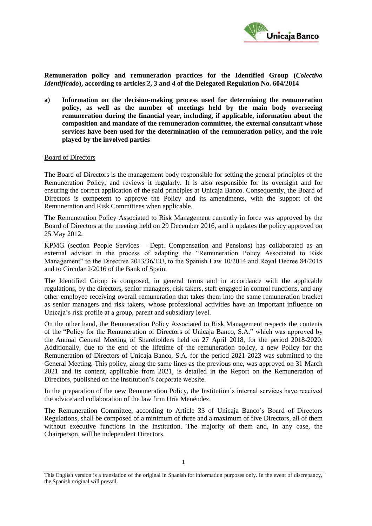

**Remuneration policy and remuneration practices for the Identified Group (***Colectivo Identificado***), according to articles 2, 3 and 4 of the Delegated Regulation No. 604/2014**

**a) Information on the decision-making process used for determining the remuneration policy, as well as the number of meetings held by the main body overseeing remuneration during the financial year, including, if applicable, information about the composition and mandate of the remuneration committee, the external consultant whose services have been used for the determination of the remuneration policy, and the role played by the involved parties**

#### Board of Directors

The Board of Directors is the management body responsible for setting the general principles of the Remuneration Policy, and reviews it regularly. It is also responsible for its oversight and for ensuring the correct application of the said principles at Unicaja Banco. Consequently, the Board of Directors is competent to approve the Policy and its amendments, with the support of the Remuneration and Risk Committees when applicable.

The Remuneration Policy Associated to Risk Management currently in force was approved by the Board of Directors at the meeting held on 29 December 2016, and it updates the policy approved on 25 May 2012.

KPMG (section People Services – Dept. Compensation and Pensions) has collaborated as an external advisor in the process of adapting the "Remuneration Policy Associated to Risk Management" to the Directive 2013/36/EU, to the Spanish Law 10/2014 and Royal Decree 84/2015 and to Circular 2/2016 of the Bank of Spain.

The Identified Group is composed, in general terms and in accordance with the applicable regulations, by the directors, senior managers, risk takers, staff engaged in control functions, and any other employee receiving overall remuneration that takes them into the same remuneration bracket as senior managers and risk takers, whose professional activities have an important influence on Unicaja's risk profile at a group, parent and subsidiary level.

On the other hand, the Remuneration Policy Associated to Risk Management respects the contents of the "Policy for the Remuneration of Directors of Unicaja Banco, S.A." which was approved by the Annual General Meeting of Shareholders held on 27 April 2018, for the period 2018-2020. Additionally, due to the end of the lifetime of the remuneration policy, a new Policy for the Remuneration of Directors of Unicaja Banco, S.A. for the period 2021-2023 was submitted to the General Meeting. This policy, along the same lines as the previous one, was approved on 31 March 2021 and its content, applicable from 2021, is detailed in the Report on the Remuneration of Directors, published on the Institution's corporate website.

In the preparation of the new Remuneration Policy, the Institution's internal services have received the advice and collaboration of the law firm Uría Menéndez.

The Remuneration Committee, according to Article 33 of Unicaja Banco's Board of Directors Regulations, shall be composed of a minimum of three and a maximum of five Directors, all of them without executive functions in the Institution. The majority of them and, in any case, the Chairperson, will be independent Directors.

This English version is a translation of the original in Spanish for information purposes only. In the event of discrepancy, the Spanish original will prevail.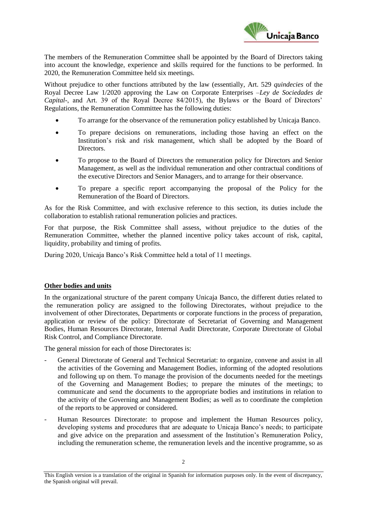

The members of the Remuneration Committee shall be appointed by the Board of Directors taking into account the knowledge, experience and skills required for the functions to be performed. In 2020, the Remuneration Committee held six meetings.

Without prejudice to other functions attributed by the law (essentially, Art. 529 *quindecies* of the Royal Decree Law 1/2020 approving the Law on Corporate Enterprises –*Ley de Sociedades de Capital*-, and Art. 39 of the Royal Decree 84/2015), the Bylaws or the Board of Directors' Regulations, the Remuneration Committee has the following duties:

- To arrange for the observance of the remuneration policy established by Unicaja Banco.
- To prepare decisions on remunerations, including those having an effect on the Institution's risk and risk management, which shall be adopted by the Board of Directors.
- To propose to the Board of Directors the remuneration policy for Directors and Senior Management, as well as the individual remuneration and other contractual conditions of the executive Directors and Senior Managers, and to arrange for their observance.
- To prepare a specific report accompanying the proposal of the Policy for the Remuneration of the Board of Directors.

As for the Risk Committee, and with exclusive reference to this section, its duties include the collaboration to establish rational remuneration policies and practices.

For that purpose, the Risk Committee shall assess, without prejudice to the duties of the Remuneration Committee, whether the planned incentive policy takes account of risk, capital, liquidity, probability and timing of profits.

During 2020, Unicaja Banco's Risk Committee held a total of 11 meetings.

# **Other bodies and units**

In the organizational structure of the parent company Unicaja Banco, the different duties related to the remuneration policy are assigned to the following Directorates, without prejudice to the involvement of other Directorates, Departments or corporate functions in the process of preparation, application or review of the policy: Directorate of Secretariat of Governing and Management Bodies, Human Resources Directorate, Internal Audit Directorate, Corporate Directorate of Global Risk Control, and Compliance Directorate.

The general mission for each of those Directorates is:

- General Directorate of General and Technical Secretariat: to organize, convene and assist in all the activities of the Governing and Management Bodies, informing of the adopted resolutions and following up on them. To manage the provision of the documents needed for the meetings of the Governing and Management Bodies; to prepare the minutes of the meetings; to communicate and send the documents to the appropriate bodies and institutions in relation to the activity of the Governing and Management Bodies; as well as to coordinate the completion of the reports to be approved or considered.
- Human Resources Directorate: to propose and implement the Human Resources policy, developing systems and procedures that are adequate to Unicaja Banco's needs; to participate and give advice on the preparation and assessment of the Institution's Remuneration Policy, including the remuneration scheme, the remuneration levels and the incentive programme, so as

This English version is a translation of the original in Spanish for information purposes only. In the event of discrepancy, the Spanish original will prevail.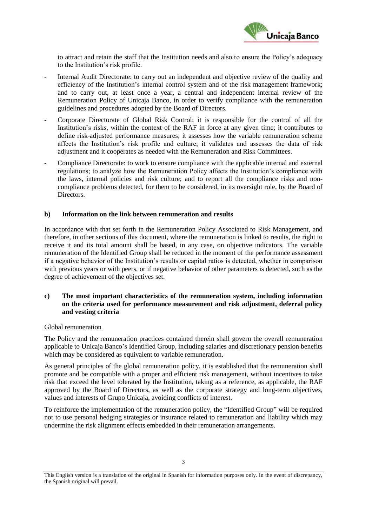

to attract and retain the staff that the Institution needs and also to ensure the Policy's adequacy to the Institution's risk profile.

- Internal Audit Directorate: to carry out an independent and objective review of the quality and efficiency of the Institution's internal control system and of the risk management framework; and to carry out, at least once a year, a central and independent internal review of the Remuneration Policy of Unicaja Banco, in order to verify compliance with the remuneration guidelines and procedures adopted by the Board of Directors.
- Corporate Directorate of Global Risk Control: it is responsible for the control of all the Institution's risks, within the context of the RAF in force at any given time; it contributes to define risk-adjusted performance measures; it assesses how the variable remuneration scheme affects the Institution's risk profile and culture; it validates and assesses the data of risk adjustment and it cooperates as needed with the Remuneration and Risk Committees.
- Compliance Directorate: to work to ensure compliance with the applicable internal and external regulations; to analyze how the Remuneration Policy affects the Institution's compliance with the laws, internal policies and risk culture; and to report all the compliance risks and noncompliance problems detected, for them to be considered, in its oversight role, by the Board of Directors.

#### **b) Information on the link between remuneration and results**

In accordance with that set forth in the Remuneration Policy Associated to Risk Management, and therefore, in other sections of this document, where the remuneration is linked to results, the right to receive it and its total amount shall be based, in any case, on objective indicators. The variable remuneration of the Identified Group shall be reduced in the moment of the performance assessment if a negative behavior of the Institution's results or capital ratios is detected, whether in comparison with previous years or with peers, or if negative behavior of other parameters is detected, such as the degree of achievement of the objectives set.

# **c) The most important characteristics of the remuneration system, including information on the criteria used for performance measurement and risk adjustment, deferral policy and vesting criteria**

## Global remuneration

The Policy and the remuneration practices contained therein shall govern the overall remuneration applicable to Unicaja Banco's Identified Group, including salaries and discretionary pension benefits which may be considered as equivalent to variable remuneration.

As general principles of the global remuneration policy, it is established that the remuneration shall promote and be compatible with a proper and efficient risk management, without incentives to take risk that exceed the level tolerated by the Institution, taking as a reference, as applicable, the RAF approved by the Board of Directors, as well as the corporate strategy and long-term objectives, values and interests of Grupo Unicaja, avoiding conflicts of interest.

To reinforce the implementation of the remuneration policy, the "Identified Group" will be required not to use personal hedging strategies or insurance related to remuneration and liability which may undermine the risk alignment effects embedded in their remuneration arrangements.

This English version is a translation of the original in Spanish for information purposes only. In the event of discrepancy, the Spanish original will prevail.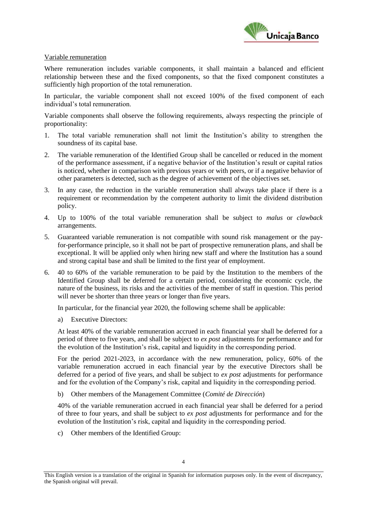

### Variable remuneration

Where remuneration includes variable components, it shall maintain a balanced and efficient relationship between these and the fixed components, so that the fixed component constitutes a sufficiently high proportion of the total remuneration.

In particular, the variable component shall not exceed 100% of the fixed component of each individual's total remuneration.

Variable components shall observe the following requirements, always respecting the principle of proportionality:

- 1. The total variable remuneration shall not limit the Institution's ability to strengthen the soundness of its capital base.
- 2. The variable remuneration of the Identified Group shall be cancelled or reduced in the moment of the performance assessment, if a negative behavior of the Institution's result or capital ratios is noticed, whether in comparison with previous years or with peers, or if a negative behavior of other parameters is detected, such as the degree of achievement of the objectives set.
- 3. In any case, the reduction in the variable remuneration shall always take place if there is a requirement or recommendation by the competent authority to limit the dividend distribution policy.
- 4. Up to 100% of the total variable remuneration shall be subject to *malus* or *clawback* arrangements.
- 5. Guaranteed variable remuneration is not compatible with sound risk management or the payfor-performance principle, so it shall not be part of prospective remuneration plans, and shall be exceptional. It will be applied only when hiring new staff and where the Institution has a sound and strong capital base and shall be limited to the first year of employment.
- 6. 40 to 60% of the variable remuneration to be paid by the Institution to the members of the Identified Group shall be deferred for a certain period, considering the economic cycle, the nature of the business, its risks and the activities of the member of staff in question. This period will never be shorter than three years or longer than five years.

In particular, for the financial year 2020, the following scheme shall be applicable:

a) Executive Directors:

At least 40% of the variable remuneration accrued in each financial year shall be deferred for a period of three to five years, and shall be subject to *ex post* adjustments for performance and for the evolution of the Institution's risk, capital and liquidity in the corresponding period.

For the period 2021-2023, in accordance with the new remuneration, policy, 60% of the variable remuneration accrued in each financial year by the executive Directors shall be deferred for a period of five years, and shall be subject to *ex post* adjustments for performance and for the evolution of the Company's risk, capital and liquidity in the corresponding period.

b) Other members of the Management Committee (*Comité de Dirección*)

40% of the variable remuneration accrued in each financial year shall be deferred for a period of three to four years, and shall be subject to *ex post* adjustments for performance and for the evolution of the Institution's risk, capital and liquidity in the corresponding period.

c) Other members of the Identified Group:

This English version is a translation of the original in Spanish for information purposes only. In the event of discrepancy, the Spanish original will prevail.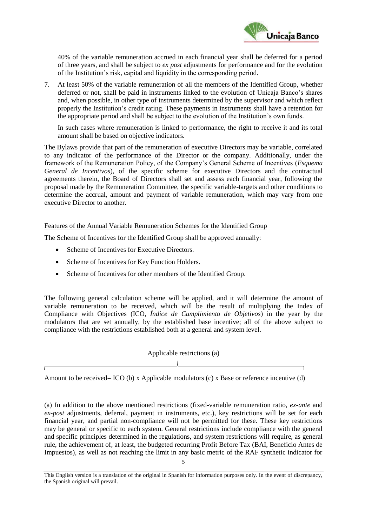

40% of the variable remuneration accrued in each financial year shall be deferred for a period of three years, and shall be subject to *ex post* adjustments for performance and for the evolution of the Institution's risk, capital and liquidity in the corresponding period.

7. At least 50% of the variable remuneration of all the members of the Identified Group, whether deferred or not, shall be paid in instruments linked to the evolution of Unicaja Banco's shares and, when possible, in other type of instruments determined by the supervisor and which reflect properly the Institution's credit rating. These payments in instruments shall have a retention for the appropriate period and shall be subject to the evolution of the Institution's own funds.

In such cases where remuneration is linked to performance, the right to receive it and its total amount shall be based on objective indicators.

The Bylaws provide that part of the remuneration of executive Directors may be variable, correlated to any indicator of the performance of the Director or the company. Additionally, under the framework of the Remuneration Policy, of the Company's General Scheme of Incentives (*Esquema General de Incentivos*), of the specific scheme for executive Directors and the contractual agreements therein, the Board of Directors shall set and assess each financial year, following the proposal made by the Remuneration Committee, the specific variable-targets and other conditions to determine the accrual, amount and payment of variable remuneration, which may vary from one executive Director to another.

# Features of the Annual Variable Remuneration Schemes for the Identified Group

The Scheme of Incentives for the Identified Group shall be approved annually:

- Scheme of Incentives for Executive Directors.
- Scheme of Incentives for Key Function Holders.
- Scheme of Incentives for other members of the Identified Group.

The following general calculation scheme will be applied, and it will determine the amount of variable remuneration to be received, which will be the result of multiplying the Index of Compliance with Objectives (ICO, *Índice de Cumplimiento de Objetivos*) in the year by the modulators that are set annually, by the established base incentive; all of the above subject to compliance with the restrictions established both at a general and system level.

| Applicable restrictions (a) |  |  |  |  |  |  |  |
|-----------------------------|--|--|--|--|--|--|--|
|                             |  |  |  |  |  |  |  |

Amount to be received= ICO (b) x Applicable modulators (c) x Base or reference incentive (d)

(a) In addition to the above mentioned restrictions (fixed-variable remuneration ratio, *ex-ante* and *ex-post* adjustments, deferral, payment in instruments, etc.), key restrictions will be set for each financial year, and partial non-compliance will not be permitted for these. These key restrictions may be general or specific to each system. General restrictions include compliance with the general and specific principles determined in the regulations, and system restrictions will require, as general rule, the achievement of, at least, the budgeted recurring Profit Before Tax (BAI, Beneficio Antes de Impuestos), as well as not reaching the limit in any basic metric of the RAF synthetic indicator for

This English version is a translation of the original in Spanish for information purposes only. In the event of discrepancy, the Spanish original will prevail.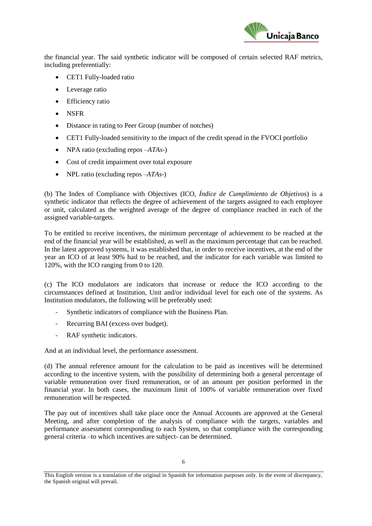

the financial year. The said synthetic indicator will be composed of certain selected RAF metrics, including preferentially:

- CET1 Fully-loaded ratio
- Leverage ratio
- Efficiency ratio
- NSFR
- Distance in rating to Peer Group (number of notches)
- CET1 Fully-loaded sensitivity to the impact of the credit spread in the FVOCI portfolio
- NPA ratio (excluding repos  $-ATAs$ -)
- Cost of credit impairment over total exposure
- **NPL ratio (excluding repos**  $-ATAs$ **-)**

(b) The Index of Compliance with Objectives (ICO, *Índice de Cumplimiento de Objetivos*) is a synthetic indicator that reflects the degree of achievement of the targets assigned to each employee or unit, calculated as the weighted average of the degree of compliance reached in each of the assigned variable-targets.

To be entitled to receive incentives, the minimum percentage of achievement to be reached at the end of the financial year will be established, as well as the maximum percentage that can be reached. In the latest approved systems, it was established that, in order to receive incentives, at the end of the year an ICO of at least 90% had to be reached, and the indicator for each variable was limited to 120%, with the ICO ranging from 0 to 120.

(c) The ICO modulators are indicators that increase or reduce the ICO according to the circumstances defined at Institution, Unit and/or individual level for each one of the systems. As Institution modulators, the following will be preferably used:

- Synthetic indicators of compliance with the Business Plan.
- Recurring BAI (excess over budget).
- RAF synthetic indicators.

And at an individual level, the performance assessment.

(d) The annual reference amount for the calculation to be paid as incentives will be determined according to the incentive system, with the possibility of determining both a general percentage of variable remuneration over fixed remuneration, or of an amount per position performed in the financial year. In both cases, the maximum limit of 100% of variable remuneration over fixed remuneration will be respected.

The pay out of incentives shall take place once the Annual Accounts are approved at the General Meeting, and after completion of the analysis of compliance with the targets, variables and performance assessment corresponding to each System, so that compliance with the corresponding general criteria –to which incentives are subject- can be determined.

This English version is a translation of the original in Spanish for information purposes only. In the event of discrepancy, the Spanish original will prevail.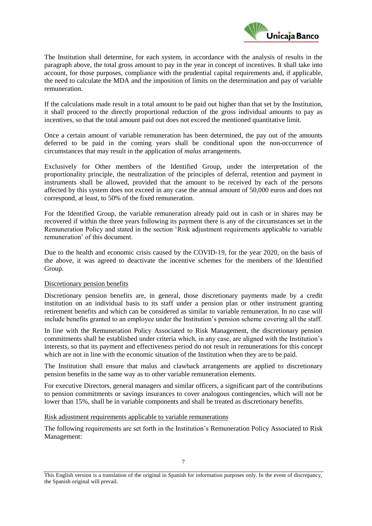

The Institution shall determine, for each system, in accordance with the analysis of results in the paragraph above, the total gross amount to pay in the year in concept of incentives. It shall take into account, for those purposes, compliance with the prudential capital requirements and, if applicable, the need to calculate the MDA and the imposition of limits on the determination and pay of variable remuneration.

If the calculations made result in a total amount to be paid out higher than that set by the Institution, it shall proceed to the directly proportional reduction of the gross individual amounts to pay as incentives, so that the total amount paid out does not exceed the mentioned quantitative limit.

Once a certain amount of variable remuneration has been determined, the pay out of the amounts deferred to be paid in the coming years shall be conditional upon the non-occurrence of circumstances that may result in the application of *malus* arrangements.

Exclusively for Other members of the Identified Group, under the interpretation of the proportionality principle, the neutralization of the principles of deferral, retention and payment in instruments shall be allowed, provided that the amount to be received by each of the persons affected by this system does not exceed in any case the annual amount of 50,000 euros and does not correspond, at least, to 50% of the fixed remuneration.

For the Identified Group, the variable remuneration already paid out in cash or in shares may be recovered if within the three years following its payment there is any of the circumstances set in the Remuneration Policy and stated in the section 'Risk adjustment requirements applicable to variable remuneration' of this document.

Due to the health and economic crisis caused by the COVID-19, for the year 2020, on the basis of the above, it was agreed to deactivate the incentive schemes for the members of the Identified Group.

## Discretionary pension benefits

Discretionary pension benefits are, in general, those discretionary payments made by a credit institution on an individual basis to its staff under a pension plan or other instrument granting retirement benefits and which can be considered as similar to variable remuneration. In no case will include benefits granted to an employee under the Institution's pension scheme covering all the staff.

In line with the Remuneration Policy Associated to Risk Management, the discretionary pension commitments shall be established under criteria which, in any case, are aligned with the Institution's interests, so that its payment and effectiveness period do not result in remunerations for this concept which are not in line with the economic situation of the Institution when they are to be paid.

The Institution shall ensure that malus and clawback arrangements are applied to discretionary pension benefits in the same way as to other variable remuneration elements.

For executive Directors, general managers and similar officers, a significant part of the contributions to pension commitments or savings insurances to cover analogous contingencies, which will not be lower than 15%, shall be in variable components and shall be treated as discretionary benefits.

## Risk adjustment requirements applicable to variable remunerations

The following requirements are set forth in the Institution's Remuneration Policy Associated to Risk Management:

This English version is a translation of the original in Spanish for information purposes only. In the event of discrepancy, the Spanish original will prevail.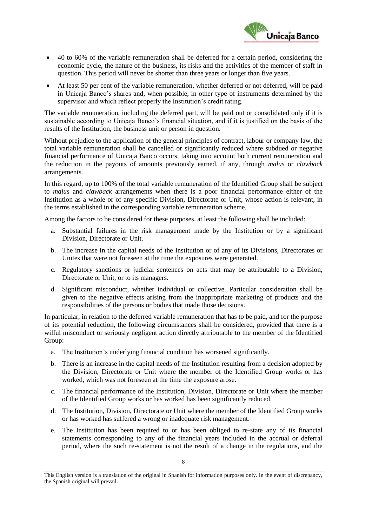

- 40 to 60% of the variable remuneration shall be deferred for a certain period, considering the economic cycle, the nature of the business, its risks and the activities of the member of staff in question. This period will never be shorter than three years or longer than five years.
- At least 50 per cent of the variable remuneration, whether deferred or not deferred, will be paid in Unicaja Banco's shares and, when possible, in other type of instruments determined by the supervisor and which reflect properly the Institution's credit rating.

The variable remuneration, including the deferred part, will be paid out or consolidated only if it is sustainable according to Unicaja Banco's financial situation, and if it is justified on the basis of the results of the Institution, the business unit or person in question.

Without prejudice to the application of the general principles of contract, labour or company law, the total variable remuneration shall be cancelled or significantly reduced where subdued or negative financial performance of Unicaja Banco occurs, taking into account both current remuneration and the reduction in the payouts of amounts previously earned, if any, through *malus* or *clawback* arrangements.

In this regard, up to 100% of the total variable remuneration of the Identified Group shall be subject to *malus* and *clawback* arrangements when there is a poor financial performance either of the Institution as a whole or of any specific Division, Directorate or Unit, whose action is relevant, in the terms established in the corresponding variable remuneration scheme.

Among the factors to be considered for these purposes, at least the following shall be included:

- a. Substantial failures in the risk management made by the Institution or by a significant Division, Directorate or Unit.
- b. The increase in the capital needs of the Institution or of any of its Divisions, Directorates or Unites that were not foreseen at the time the exposures were generated.
- c. Regulatory sanctions or judicial sentences on acts that may be attributable to a Division, Directorate or Unit, or to its managers.
- d. Significant misconduct, whether individual or collective. Particular consideration shall be given to the negative effects arising from the inappropriate marketing of products and the responsibilities of the persons or bodies that made those decisions.

In particular, in relation to the deferred variable remuneration that has to be paid, and for the purpose of its potential reduction, the following circumstances shall be considered, provided that there is a wilful misconduct or seriously negligent action directly attributable to the member of the Identified Group:

- a. The Institution's underlying financial condition has worsened significantly.
- b. There is an increase in the capital needs of the Institution resulting from a decision adopted by the Division, Directorate or Unit where the member of the Identified Group works or has worked, which was not foreseen at the time the exposure arose.
- c. The financial performance of the Institution, Division, Directorate or Unit where the member of the Identified Group works or has worked has been significantly reduced.
- d. The Institution, Division, Directorate or Unit where the member of the Identified Group works or has worked has suffered a wrong or inadequate risk management.
- e. The Institution has been required to or has been obliged to re-state any of its financial statements corresponding to any of the financial years included in the accrual or deferral period, where the such re-statement is not the result of a change in the regulations, and the

This English version is a translation of the original in Spanish for information purposes only. In the event of discrepancy, the Spanish original will prevail.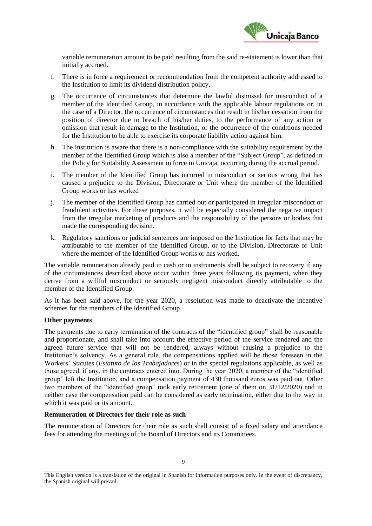

variable remuneration amount to be paid resulting from the said re-statement is lower than that initially accrued.

- f. There is in force a requirement or recommendation from the competent authority addressed to the Institution to limit its dividend distribution policy.
- g. The occurrence of circumstances that determine the lawful dismissal for misconduct of a member of the Identified Group, in accordance with the applicable labour regulations or, in the case of a Director, the occurrence of circumstances that result in his/her cessation from the position of director due to breach of his/her duties, to the performance of any action or omission that result in damage to the Institution, or the occurrence of the conditions needed for the Institution to be able to exercise its corporate liability action against him.
- h. The Institution is aware that there is a non-compliance with the suitability requirement by the member of the Identified Group which is also a member of the "Subject Group", as defined in the Policy for Suitability Assessment in force in Unicaja, occurring during the accrual period.
- i. The member of the Identified Group has incurred in misconduct or serious wrong that has caused a prejudice to the Division, Directorate or Unit where the member of the Identified Group works or has worked
- j. The member of the Identified Group has carried out or participated in irregular misconduct or fraudulent activities. For these purposes, it will be especially considered the negative impact from the irregular marketing of products and the responsibility of the persons or bodies that made the corresponding decision.
- k. Regulatory sanctions or judicial sentences are imposed on the Institution for facts that may be attributable to the member of the Identified Group, or to the Division, Directorate or Unit where the member of the Identified Group works or has worked.

The variable remuneration already paid in cash or in instruments shall be subject to recovery if any of the circumstances described above occur within three years following its payment, when they derive from a willful misconduct or seriously negligent misconduct directly attributable to the member of the Identified Group.

As it has been said above, for the year 2020, a resolution was made to deactivate the incentive schemes for the members of the Identified Group.

# **Other payments**

The payments due to early termination of the contracts of the "identified group" shall be reasonable and proportionate, and shall take into account the effective period of the service rendered and the agreed future service that will not be rendered, always without causing a prejudice to the Institution's solvency. As a general rule, the compensations applied will be those foreseen in the Workers' Statutes (*Estatuto de los Trabajadores*) or in the special regulations applicable, as well as those agreed, if any, in the contracts entered into. During the year 2020, a member of the "identified group" left the Institution, and a compensation payment of 430 thousand euros was paid out. Other two members of the "identified group" took early retirement (one of them on 31/12/2020) and in neither case the compensation paid can be considered as early termination, either due to the way in which it was paid or its amount.

# **Remuneration of Directors for their role as such**

The remuneration of Directors for their role as such shall consist of a fixed salary and attendance fees for attending the meetings of the Board of Directors and its Committees.

This English version is a translation of the original in Spanish for information purposes only. In the event of discrepancy, the Spanish original will prevail.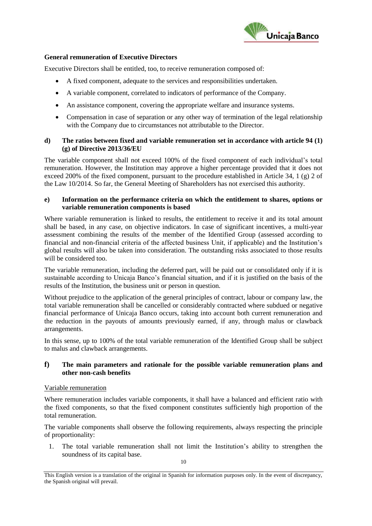

## **General remuneration of Executive Directors**

Executive Directors shall be entitled, too, to receive remuneration composed of:

- A fixed component, adequate to the services and responsibilities undertaken.
- A variable component, correlated to indicators of performance of the Company.
- An assistance component, covering the appropriate welfare and insurance systems.
- Compensation in case of separation or any other way of termination of the legal relationship with the Company due to circumstances not attributable to the Director.

## **d) The ratios between fixed and variable remuneration set in accordance with article 94 (1) (g) of Directive 2013/36/EU**

The variable component shall not exceed 100% of the fixed component of each individual's total remuneration. However, the Institution may approve a higher percentage provided that it does not exceed 200% of the fixed component, pursuant to the procedure established in Article 34, 1 (g) 2 of the Law 10/2014. So far, the General Meeting of Shareholders has not exercised this authority.

#### **e) Information on the performance criteria on which the entitlement to shares, options or variable remuneration components is based**

Where variable remuneration is linked to results, the entitlement to receive it and its total amount shall be based, in any case, on objective indicators. In case of significant incentives, a multi-year assessment combining the results of the member of the Identified Group (assessed according to financial and non-financial criteria of the affected business Unit, if applicable) and the Institution's global results will also be taken into consideration. The outstanding risks associated to those results will be considered too.

The variable remuneration, including the deferred part, will be paid out or consolidated only if it is sustainable according to Unicaja Banco's financial situation, and if it is justified on the basis of the results of the Institution, the business unit or person in question.

Without prejudice to the application of the general principles of contract, labour or company law, the total variable remuneration shall be cancelled or considerably contracted where subdued or negative financial performance of Unicaja Banco occurs, taking into account both current remuneration and the reduction in the payouts of amounts previously earned, if any, through malus or clawback arrangements.

In this sense, up to 100% of the total variable remuneration of the Identified Group shall be subject to malus and clawback arrangements.

# **f) The main parameters and rationale for the possible variable remuneration plans and other non-cash benefits**

#### Variable remuneration

Where remuneration includes variable components, it shall have a balanced and efficient ratio with the fixed components, so that the fixed component constitutes sufficiently high proportion of the total remuneration.

The variable components shall observe the following requirements, always respecting the principle of proportionality:

1. The total variable remuneration shall not limit the Institution's ability to strengthen the soundness of its capital base.

This English version is a translation of the original in Spanish for information purposes only. In the event of discrepancy, the Spanish original will prevail.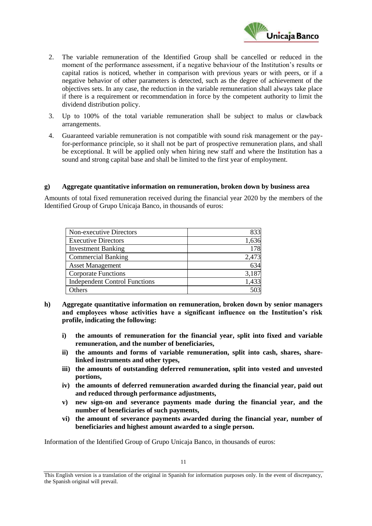

- 2. The variable remuneration of the Identified Group shall be cancelled or reduced in the moment of the performance assessment, if a negative behaviour of the Institution's results or capital ratios is noticed, whether in comparison with previous years or with peers, or if a negative behavior of other parameters is detected, such as the degree of achievement of the objectives sets. In any case, the reduction in the variable remuneration shall always take place if there is a requirement or recommendation in force by the competent authority to limit the dividend distribution policy.
- 3. Up to 100% of the total variable remuneration shall be subject to malus or clawback arrangements.
- 4. Guaranteed variable remuneration is not compatible with sound risk management or the payfor-performance principle, so it shall not be part of prospective remuneration plans, and shall be exceptional. It will be applied only when hiring new staff and where the Institution has a sound and strong capital base and shall be limited to the first year of employment.

#### **g) Aggregate quantitative information on remuneration, broken down by business area**

Amounts of total fixed remuneration received during the financial year 2020 by the members of the Identified Group of Grupo Unicaja Banco, in thousands of euros:

| Non-executive Directors              | 833   |
|--------------------------------------|-------|
| <b>Executive Directors</b>           | 1,636 |
| <b>Investment Banking</b>            | 178   |
| <b>Commercial Banking</b>            | 2,473 |
| <b>Asset Management</b>              | 634   |
| <b>Corporate Functions</b>           | 3,187 |
| <b>Independent Control Functions</b> | 1,433 |
| )thers                               |       |

- **h) Aggregate quantitative information on remuneration, broken down by senior managers and employees whose activities have a significant influence on the Institution's risk profile, indicating the following:**
	- **i) the amounts of remuneration for the financial year, split into fixed and variable remuneration, and the number of beneficiaries,**
	- **ii) the amounts and forms of variable remuneration, split into cash, shares, sharelinked instruments and other types,**
	- **iii) the amounts of outstanding deferred remuneration, split into vested and unvested portions,**
	- **iv) the amounts of deferred remuneration awarded during the financial year, paid out and reduced through performance adjustments,**
	- **v) new sign-on and severance payments made during the financial year, and the number of beneficiaries of such payments,**
	- **vi) the amount of severance payments awarded during the financial year, number of beneficiaries and highest amount awarded to a single person.**

Information of the Identified Group of Grupo Unicaja Banco, in thousands of euros:

This English version is a translation of the original in Spanish for information purposes only. In the event of discrepancy, the Spanish original will prevail.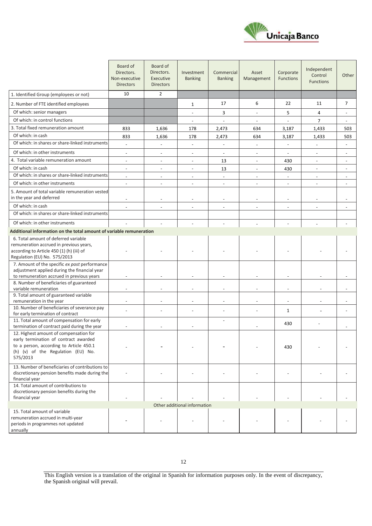

|                                                                                                   | Board of<br>Directors.<br>Non-executive<br><b>Directors</b> | Board of<br>Directors.<br>Executive<br><b>Directors</b> | Investment<br><b>Banking</b> | Commercial<br><b>Banking</b> | Asset<br>Management      | Corporate<br><b>Functions</b> | Independent<br>Control<br><b>Functions</b> | Other                    |
|---------------------------------------------------------------------------------------------------|-------------------------------------------------------------|---------------------------------------------------------|------------------------------|------------------------------|--------------------------|-------------------------------|--------------------------------------------|--------------------------|
| 1. Identified Group (employees or not)                                                            | 10                                                          | $\overline{2}$                                          |                              |                              |                          |                               |                                            |                          |
| 2. Number of FTE identified employees                                                             |                                                             |                                                         | 1                            | 17                           | 6                        | 22                            | 11                                         | $\overline{7}$           |
| Of which: senior managers                                                                         |                                                             |                                                         | $\overline{a}$               | 3                            | $\blacksquare$           | 5                             | 4                                          |                          |
| Of which: in control functions                                                                    |                                                             |                                                         |                              |                              |                          | $\overline{a}$                | $\overline{7}$                             |                          |
| 3. Total fixed remuneration amount                                                                | 833                                                         | 1,636                                                   | 178                          | 2,473                        | 634                      | 3,187                         | 1,433                                      | 503                      |
| Of which: in cash                                                                                 | 833                                                         | 1,636                                                   | 178                          | 2,473                        | 634                      | 3,187                         | 1,433                                      | 503                      |
| Of which: in shares or share-linked instruments                                                   | $\overline{a}$                                              |                                                         | $\overline{a}$               |                              | $\overline{\phantom{a}}$ |                               | $\overline{\phantom{a}}$                   |                          |
| Of which: in other instruments                                                                    | $\overline{\phantom{a}}$                                    | $\overline{\phantom{a}}$                                | $\overline{\phantom{a}}$     | $\overline{\phantom{a}}$     | $\overline{\phantom{a}}$ | $\overline{\phantom{a}}$      | $\overline{\phantom{a}}$                   | $\overline{\phantom{a}}$ |
| 4. Total variable remuneration amount                                                             | $\overline{\phantom{a}}$                                    | $\blacksquare$                                          | $\overline{\phantom{a}}$     | 13                           | $\blacksquare$           | 430                           | $\overline{\phantom{a}}$                   | $\blacksquare$           |
| Of which: in cash                                                                                 | $\overline{a}$                                              | $\overline{\phantom{a}}$                                | $\overline{a}$               | 13                           | $\overline{a}$           | 430                           | $\blacksquare$                             |                          |
| Of which: in shares or share-linked instruments                                                   | $\blacksquare$                                              | $\sim$                                                  | $\overline{\phantom{a}}$     | $\blacksquare$               | $\blacksquare$           | $\blacksquare$                | $\blacksquare$                             |                          |
| Of which: in other instruments                                                                    | ÷.                                                          |                                                         | $\overline{a}$               | $\overline{\phantom{a}}$     | $\overline{a}$           | $\blacksquare$                |                                            |                          |
| 5. Amount of total variable remuneration vested<br>in the year and deferred                       |                                                             |                                                         |                              |                              |                          |                               |                                            |                          |
| Of which: in cash                                                                                 |                                                             |                                                         |                              |                              |                          |                               |                                            |                          |
| Of which: in shares or share-linked instruments                                                   |                                                             |                                                         |                              |                              |                          |                               |                                            |                          |
| Of which: in other instruments                                                                    |                                                             |                                                         |                              |                              |                          |                               |                                            |                          |
| Additional information on the total amount of variable remuneration                               |                                                             |                                                         |                              |                              |                          |                               |                                            |                          |
| 6. Total amount of deferred variable                                                              |                                                             |                                                         |                              |                              |                          |                               |                                            |                          |
| remuneration accrued in previous years,                                                           |                                                             |                                                         |                              |                              |                          |                               |                                            |                          |
| according to Article 450 (1) (h) (iii) of                                                         |                                                             |                                                         |                              |                              |                          |                               |                                            |                          |
| Regulation (EU) No. 575/2013<br>7. Amount of the specific ex post performance                     |                                                             |                                                         |                              |                              |                          |                               |                                            |                          |
| adjustment applied during the financial year                                                      |                                                             |                                                         |                              |                              |                          |                               |                                            |                          |
| to remuneration accrued in previous years                                                         | $\overline{\phantom{a}}$                                    |                                                         |                              | $\overline{\phantom{a}}$     |                          | $\overline{\phantom{a}}$      | $\overline{\phantom{a}}$                   |                          |
| 8. Number of beneficiaries of guaranteed                                                          |                                                             |                                                         |                              |                              |                          |                               |                                            |                          |
| variable remuneration<br>9. Total amount of guaranteed variable                                   |                                                             |                                                         |                              |                              |                          | $\overline{a}$                | $\overline{\phantom{a}}$                   |                          |
| remuneration in the year                                                                          | $\overline{\phantom{a}}$                                    | $\overline{\phantom{a}}$                                | $\overline{\phantom{a}}$     | $\overline{\phantom{a}}$     | $\overline{\phantom{a}}$ | $\sim$                        | $\overline{\phantom{a}}$                   |                          |
| 10. Number of beneficiaries of severance pay                                                      |                                                             |                                                         | $\overline{\phantom{a}}$     |                              | $\overline{a}$           | $\mathbf{1}$                  | ÷,                                         |                          |
| for early termination of contract                                                                 |                                                             |                                                         |                              |                              |                          |                               |                                            |                          |
| 11. Total amount of compensation for early<br>termination of contract paid during the year        |                                                             |                                                         |                              | ÷,                           |                          | 430                           |                                            |                          |
| 12. Highest amount of compensation for                                                            |                                                             |                                                         |                              |                              |                          |                               |                                            |                          |
| early termination of contract awarded                                                             |                                                             |                                                         |                              |                              |                          |                               |                                            |                          |
| to a person, according to Article 450.1                                                           |                                                             |                                                         |                              |                              |                          | 430                           |                                            |                          |
| (h) (v) of the Regulation (EU) No.<br>575/2013                                                    |                                                             |                                                         |                              |                              |                          |                               |                                            |                          |
|                                                                                                   |                                                             |                                                         |                              |                              |                          |                               |                                            |                          |
| 13. Number of beneficiaries of contributions to<br>discretionary pension benefits made during the |                                                             |                                                         |                              |                              |                          |                               |                                            |                          |
| financial year                                                                                    |                                                             |                                                         |                              |                              |                          |                               |                                            |                          |
| 14. Total amount of contributions to                                                              |                                                             |                                                         |                              |                              |                          |                               |                                            |                          |
| discretionary pension benefits during the                                                         |                                                             |                                                         |                              |                              |                          |                               |                                            |                          |
| financial year                                                                                    |                                                             |                                                         |                              |                              |                          |                               |                                            |                          |
| 15. Total amount of variable                                                                      |                                                             |                                                         | Other additional information |                              |                          |                               |                                            |                          |
| remuneration accrued in multi-year                                                                |                                                             |                                                         |                              |                              |                          |                               |                                            |                          |
| periods in programmes not updated                                                                 |                                                             |                                                         |                              |                              |                          |                               |                                            |                          |
| annually                                                                                          |                                                             |                                                         |                              |                              |                          |                               |                                            |                          |

This English version is a translation of the original in Spanish for information purposes only. In the event of discrepancy, the Spanish original will prevail.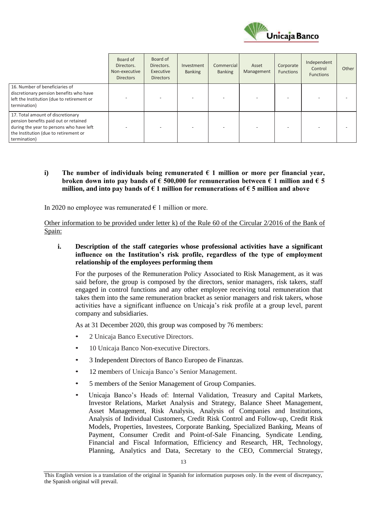

|                                                                                                                                                                                 | Board of<br>Directors.<br>Non-executive<br><b>Directors</b> | Board of<br>Directors.<br>Executive<br><b>Directors</b> | Investment<br><b>Banking</b> | Commercial<br><b>Banking</b> | Asset<br>Management | Corporate<br><b>Functions</b> | Independent<br>Control<br><b>Functions</b> | Other |
|---------------------------------------------------------------------------------------------------------------------------------------------------------------------------------|-------------------------------------------------------------|---------------------------------------------------------|------------------------------|------------------------------|---------------------|-------------------------------|--------------------------------------------|-------|
| 16. Number of beneficiaries of<br>discretionary pension benefits who have<br>left the Institution (due to retirement or<br>termination)                                         |                                                             |                                                         |                              |                              |                     |                               |                                            |       |
| 17. Total amount of discretionary<br>pension benefits paid out or retained<br>during the year to persons who have left<br>the Institution (due to retirement or<br>termination) |                                                             |                                                         |                              |                              |                     |                               |                                            |       |

**i)** The number of individuals being remunerated  $\epsilon$  1 million or more per financial year, broken down into pay bands of  $\epsilon$  500,000 for remuneration between  $\epsilon$  1 million and  $\epsilon$  5 **million, and into pay bands of € 1 million for remunerations of € 5 million and above**

In 2020 no employee was remunerated  $\epsilon$  1 million or more.

Other information to be provided under letter k) of the Rule 60 of the Circular 2/2016 of the Bank of Spain:

**i. Description of the staff categories whose professional activities have a significant influence on the Institution's risk profile, regardless of the type of employment relationship of the employees performing them**

For the purposes of the Remuneration Policy Associated to Risk Management, as it was said before, the group is composed by the directors, senior managers, risk takers, staff engaged in control functions and any other employee receiving total remuneration that takes them into the same remuneration bracket as senior managers and risk takers, whose activities have a significant influence on Unicaja's risk profile at a group level, parent company and subsidiaries.

As at 31 December 2020, this group was composed by 76 members:

- 2 Unicaja Banco Executive Directors.
- 10 Unicaja Banco Non-executive Directors.
- 3 Independent Directors of Banco Europeo de Finanzas.
- 12 members of Unicaja Banco's Senior Management.
- 5 members of the Senior Management of Group Companies.
- Unicaja Banco's Heads of: Internal Validation, Treasury and Capital Markets, Investor Relations, Market Analysis and Strategy, Balance Sheet Management, Asset Management, Risk Analysis, Analysis of Companies and Institutions, Analysis of Individual Customers, Credit Risk Control and Follow-up, Credit Risk Models, Properties, Investees, Corporate Banking, Specialized Banking, Means of Payment, Consumer Credit and Point-of-Sale Financing, Syndicate Lending, Financial and Fiscal Information, Efficiency and Research, HR, Technology, Planning, Analytics and Data, Secretary to the CEO, Commercial Strategy,

This English version is a translation of the original in Spanish for information purposes only. In the event of discrepancy, the Spanish original will prevail.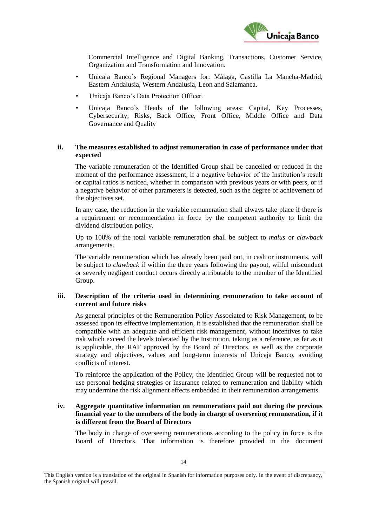

Commercial Intelligence and Digital Banking, Transactions, Customer Service, Organization and Transformation and Innovation.

- Unicaja Banco's Regional Managers for: Málaga, Castilla La Mancha-Madrid, Eastern Andalusia, Western Andalusia, Leon and Salamanca.
- Unicaja Banco's Data Protection Officer.
- Unicaja Banco's Heads of the following areas: Capital, Key Processes, Cybersecurity, Risks, Back Office, Front Office, Middle Office and Data Governance and Quality

# **ii. The measures established to adjust remuneration in case of performance under that expected**

The variable remuneration of the Identified Group shall be cancelled or reduced in the moment of the performance assessment, if a negative behavior of the Institution's result or capital ratios is noticed, whether in comparison with previous years or with peers, or if a negative behavior of other parameters is detected, such as the degree of achievement of the objectives set.

In any case, the reduction in the variable remuneration shall always take place if there is a requirement or recommendation in force by the competent authority to limit the dividend distribution policy.

Up to 100% of the total variable remuneration shall be subject to *malus* or *clawback* arrangements.

The variable remuneration which has already been paid out, in cash or instruments, will be subject to *clawback* if within the three years following the payout, wilful misconduct or severely negligent conduct occurs directly attributable to the member of the Identified Group.

#### **iii. Description of the criteria used in determining remuneration to take account of current and future risks**

As general principles of the Remuneration Policy Associated to Risk Management, to be assessed upon its effective implementation, it is established that the remuneration shall be compatible with an adequate and efficient risk management, without incentives to take risk which exceed the levels tolerated by the Institution, taking as a reference, as far as it is applicable, the RAF approved by the Board of Directors, as well as the corporate strategy and objectives, values and long-term interests of Unicaja Banco, avoiding conflicts of interest.

To reinforce the application of the Policy, the Identified Group will be requested not to use personal hedging strategies or insurance related to remuneration and liability which may undermine the risk alignment effects embedded in their remuneration arrangements.

# **iv. Aggregate quantitative information on remunerations paid out during the previous financial year to the members of the body in charge of overseeing remuneration, if it is different from the Board of Directors**

The body in charge of overseeing remunerations according to the policy in force is the Board of Directors. That information is therefore provided in the document

This English version is a translation of the original in Spanish for information purposes only. In the event of discrepancy, the Spanish original will prevail.